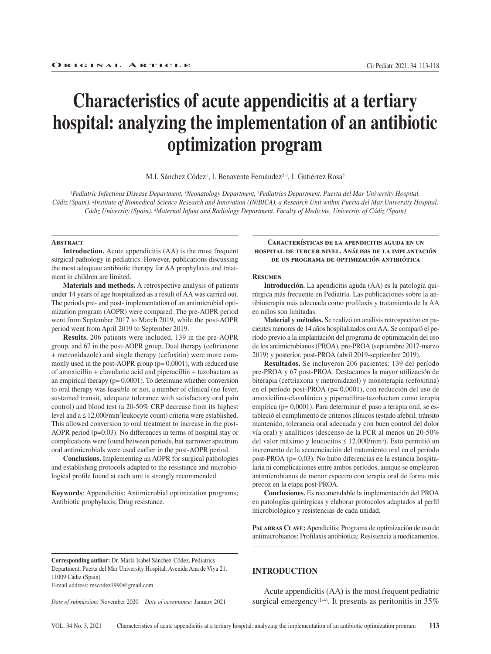#### Cir Pediatr. 2021; 34: 113-118

# **Characteristics of acute appendicitis at a tertiary hospital: analyzing the implementation of an antibiotic optimization program**

M.I. Sánchez Códez<sup>1</sup>, I. Benavente Fernández<sup>2-4</sup>, I. Gutiérrez Rosa<sup>5</sup>

*1Pediatric Infectious Disease Department, 3Neonatology Department, 5Pediatrics Department. Puerta del Mar University Hospital, Cádiz (Spain). 2Institute of Biomedical Science Research and Innovation (INiBICA), a Research Unit within Puerta del Mar University Hospital, Cádiz University (Spain). 4Maternal Infant and Radiology Department. Faculty of Medicine, University of Cádiz (Spain)*

#### **Abstract**

**Introduction.** Acute appendicitis (AA) is the most frequent surgical pathology in pediatrics. However, publications discussing the most adequate antibiotic therapy for AA prophylaxis and treatment in children are limited.

**Materials and methods.** A retrospective analysis of patients under 14 years of age hospitalized as a result of AA was carried out. The periods pre- and post- implementation of an antimicrobial optimization program (AOPR) were compared. The pre-AOPR period went from September 2017 to March 2019, while the post-AOPR period went from April 2019 to September 2019.

**Results.** 206 patients were included, 139 in the pre-AOPR group, and 67 in the post-AOPR group. Dual therapy (ceftriaxone + metronidazole) and single therapy (cefoxitin) were more commonly used in the post-AOPR group ( $p= 0.0001$ ), with reduced use of amoxicillin + clavulanic acid and piperacillin + tazobactam as an empirical therapy (p= 0.0001). To determine whether conversion to oral therapy was feasible or not, a number of clinical (no fever, sustained transit, adequate tolerance with satisfactory oral pain control) and blood test (a 20-50% CRP decrease from its highest level and a ≤ 12,000/mm3leukocyte count) criteria were established. This allowed conversion to oral treatment to increase in the post-AOPR period (p=0.03). No differences in terms of hospital stay or complications were found between periods, but narrower spectrum oral antimicrobials were used earlier in the post-AOPR period.

**Conclusions.** Implementing an AOPR for surgical pathologies and establishing protocols adapted to the resistance and microbiological profile found at each unit is strongly recommended.

**Keywords**: Appendicitis; Antimicrobial optimization programs; Antibiotic prophylaxis; Drug resistance.

### **Características de la apendicitis aguda en un hospital de tercer nivel. Análisis de la implantación de un programa de optimización antibiótica**

#### **Resumen**

**Introducción.** La apendicitis aguda (AA) es la patología quirúrgica más frecuente en Pediatría. Las publicaciones sobre la antibioterapia más adecuada como profilaxis y tratamiento de la AA en niños son limitadas.

**Material y métodos.** Se realizó un análisis retrospectivo en pacientes menores de 14 años hospitalizados con AA. Se comparó el período previo a la implantación del programa de optimización del uso de los antimicrobianos (PROA), pre-PROA (septiembre 2017-marzo 2019) y posterior, post-PROA (abril 2019-septiembre 2019).

**Resultados.** Se incluyeron 206 pacientes: 139 del período pre-PROA y 67 post-PROA. Destacamos la mayor utilización de biterapia (ceftriaxona y metronidazol) y monoterapia (cefoxitina) en el período post-PROA (p= 0,0001), con reducción del uso de amoxicilina-clavulánico y piperacilina-tazobactam como terapia empírica (p= 0,0001). Para determinar el paso a terapia oral, se estableció el cumplimento de criterios clínicos (estado afebril, tránsito mantenido, tolerancia oral adecuada y con buen control del dolor vía oral) y analíticos (descenso de la PCR al menos un 20-50% del valor máximo y leucocitos ≤ 12.000/mm3). Esto permitió un incremento de la secuenciación del tratamiento oral en el período post-PROA (p= 0,03). No hubo diferencias en la estancia hospitalaria ni complicaciones entre ambos períodos, aunque se emplearon antimicrobianos de menor espectro con terapia oral de forma más precoz en la etapa post-PROA.

**Conclusiones.** Es recomendable la implementación del PROA en patologías quirúrgicas y elaborar protocolos adaptados al perfil microbiológico y resistencias de cada unidad.

PALABRAS CLAVE: Apendicitis; Programa de optimización de uso de antimicrobianos; Profilaxis antibiótica; Resistencia a medicamentos.

**Corresponding author:** Dr. María Isabel Sánchez-Códez. Pediatrics Department, Puerta del Mar University Hospital. Avenida Ana de Viya 21. 11009 Cádiz (Spain) E-mail address: mscodez1990@gmail.com

*Date of submission:* November 2020 *Date of acceptance:* January 2021

## **INTRODUCTION**

Acute appendicitis (AA) is the most frequent pediatric surgical emergency<sup>(1-4)</sup>. It presents as peritonitis in  $35\%$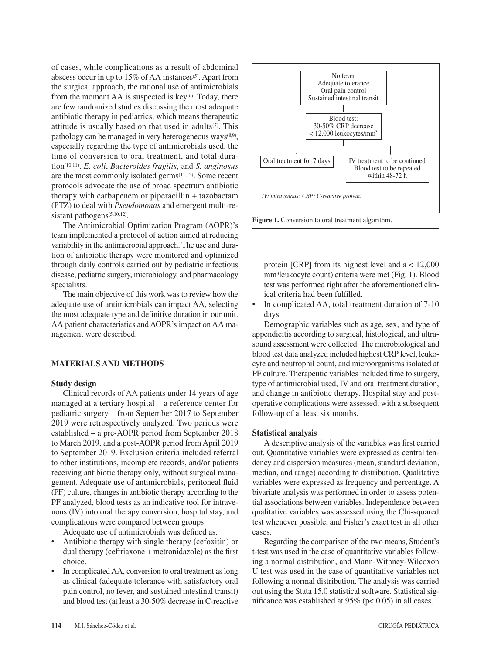of cases, while complications as a result of abdominal abscess occur in up to 15% of AA instances<sup>(5)</sup>. Apart from the surgical approach, the rational use of antimicrobials from the moment AA is suspected is key $(6)$ . Today, there are few randomized studies discussing the most adequate antibiotic therapy in pediatrics, which means therapeutic attitude is usually based on that used in adults $(7)$ . This pathology can be managed in very heterogeneous ways $(8,9)$ , especially regarding the type of antimicrobials used, the time of conversion to oral treatment, and total duration(10,11). *E. coli*, *Bacteroides fragilis*, and *S. anginosus* are the most commonly isolated germs(11,12). Some recent protocols advocate the use of broad spectrum antibiotic therapy with carbapenem or piperacillin + tazobactam (PTZ) to deal with *Pseudomonas* and emergent multi-resistant pathogens<sup>(5,10,12)</sup>.

The Antimicrobial Optimization Program (AOPR)'s team implemented a protocol of action aimed at reducing variability in the antimicrobial approach. The use and duration of antibiotic therapy were monitored and optimized through daily controls carried out by pediatric infectious disease, pediatric surgery, microbiology, and pharmacology specialists.

The main objective of this work was to review how the adequate use of antimicrobials can impact AA, selecting the most adequate type and definitive duration in our unit. AA patient characteristics and AOPR's impact on AA management were described.

## **MATERIALS AND METHODS**

## **Study design**

Clinical records of AA patients under 14 years of age managed at a tertiary hospital – a reference center for pediatric surgery – from September 2017 to September 2019 were retrospectively analyzed. Two periods were established – a pre-AOPR period from September 2018 to March 2019, and a post-AOPR period from April 2019 to September 2019. Exclusion criteria included referral to other institutions, incomplete records, and/or patients receiving antibiotic therapy only, without surgical management. Adequate use of antimicrobials, peritoneal fluid (PF) culture, changes in antibiotic therapy according to the PF analyzed, blood tests as an indicative tool for intravenous (IV) into oral therapy conversion, hospital stay, and complications were compared between groups.

Adequate use of antimicrobials was defined as:

- Antibiotic therapy with single therapy (cefoxitin) or dual therapy (ceftriaxone + metronidazole) as the first choice.
- In complicated AA, conversion to oral treatment as long as clinical (adequate tolerance with satisfactory oral pain control, no fever, and sustained intestinal transit) and blood test (at least a 30-50% decrease in C-reactive



Figure 1. Conversion to oral treatment algorithm.

protein [CRP] from its highest level and  $a < 12,000$ mm3leukocyte count) criteria were met (Fig. 1). Blood test was performed right after the aforementioned clinical criteria had been fulfilled.

In complicated AA, total treatment duration of 7-10 days.

Demographic variables such as age, sex, and type of appendicitis according to surgical, histological, and ultrasound assessment were collected. The microbiological and blood test data analyzed included highest CRP level, leukocyte and neutrophil count, and microorganisms isolated at PF culture. Therapeutic variables included time to surgery, type of antimicrobial used, IV and oral treatment duration, and change in antibiotic therapy. Hospital stay and postoperative complications were assessed, with a subsequent follow-up of at least six months.

## **Statistical analysis**

A descriptive analysis of the variables was first carried out. Quantitative variables were expressed as central tendency and dispersion measures (mean, standard deviation, median, and range) according to distribution. Qualitative variables were expressed as frequency and percentage. A bivariate analysis was performed in order to assess potential associations between variables. Independence between qualitative variables was assessed using the Chi-squared test whenever possible, and Fisher's exact test in all other cases.

Regarding the comparison of the two means, Student's t-test was used in the case of quantitative variables following a normal distribution, and Mann-Withney-Wilcoxon U test was used in the case of quantitative variables not following a normal distribution. The analysis was carried out using the Stata 15.0 statistical software. Statistical significance was established at  $95\%$  (p< 0.05) in all cases.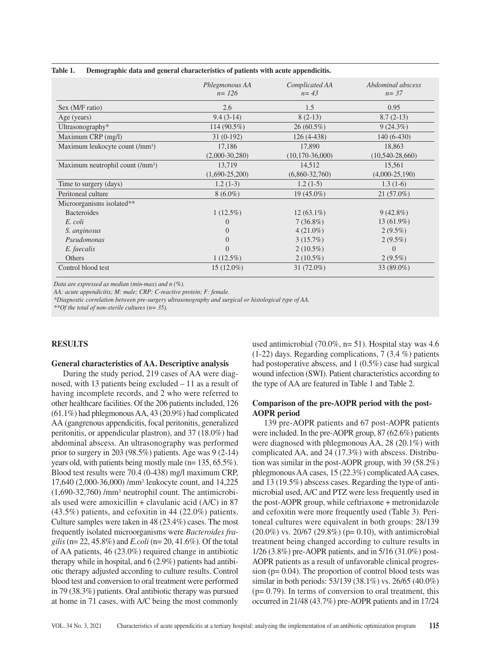|                                              | Phlegmonous AA<br>$n = 126$ | Complicated AA<br>$n = 43$ | Abdominal abscess<br>$n = 37$ |
|----------------------------------------------|-----------------------------|----------------------------|-------------------------------|
| Sex (M/F ratio)                              | 2.6                         | 1.5                        | 0.95                          |
| Age (years)                                  | $9.4(3-14)$                 | $8(2-13)$                  | $8.7(2-13)$                   |
| Ultrasonography $*$                          | 114 $(90.5\%)$              | $26(60.5\%)$               | $9(24.3\%)$                   |
| Maximum CRP (mg/l)                           | $31(0-192)$                 | $126(4-438)$               | $140(6-430)$                  |
| Maximum leukocyte count (/mm <sup>3</sup> )  | 17,186                      | 17,890                     | 18,863                        |
|                                              | $(2,000-30,280)$            | $(10, 170 - 36, 000)$      | $(10, 540 - 28, 660)$         |
| Maximum neutrophil count (/mm <sup>3</sup> ) | 13,719                      | 14,512                     | 15,561                        |
|                                              | $(1,690-25,200)$            | $(6,860-32,760)$           | $(4,000-25,190)$              |
| Time to surgery (days)                       | $1.2(1-3)$                  | $1.2(1-5)$                 | $1.3(1-6)$                    |
| Peritoneal culture                           | $8(6.0\%)$                  | $19(45.0\%)$               | $21(57.0\%)$                  |
| Microorganisms isolated**                    |                             |                            |                               |
| <b>Bacteroides</b>                           | $1(12.5\%)$                 | $12(63.1\%)$               | $9(42.8\%)$                   |
| E. coli                                      | $\Omega$                    | $7(36.8\%)$                | $13(61.9\%)$                  |
| S. anginosus                                 | $\Omega$                    | $4(21.0\%)$                | $2(9.5\%)$                    |
| Pseudomonas                                  | $\Omega$                    | $3(15.7\%)$                | $2(9.5\%)$                    |
| E. faecalis                                  | $\Omega$                    | $2(10.5\%)$                | $\Omega$                      |
| Others                                       | $1(12.5\%)$                 | $2(10.5\%)$                | $2(9.5\%)$                    |
| Control blood test                           | $15(12.0\%)$                | 31 $(72.0\%)$              | 33 (89.0%)                    |

## **Table 1. Demographic data and general characteristics of patients with acute appendicitis.**

*Data are expressed as median (min-max) and n (%).*

*AA: acute appendicitis; M: male; CRP: C-reactive protein; F: female.*

*\*Diagnostic correlation between pre-surgery ultrasonography and surgical or histological type of AA.*

*\*\*Of the total of non-sterile cultures (n= 35).*

## **RESULTS**

### **General characteristics of AA. Descriptive analysis**

During the study period, 219 cases of AA were diagnosed, with 13 patients being excluded – 11 as a result of having incomplete records, and 2 who were referred to other healthcare facilities. Of the 206 patients included, 126 (61.1%) had phlegmonous AA, 43 (20.9%) had complicated AA (gangrenous appendicitis, focal peritonitis, generalized peritonitis, or appendicular plastron), and 37 (18.0%) had abdominal abscess. An ultrasonography was performed prior to surgery in 203 (98.5%) patients. Age was  $9(2-14)$ years old, with patients being mostly male (n= 135, 65.5%). Blood test results were 70.4 (0-438) mg/l maximum CRP, 17,640 (2,000-36,000) /mm3 leukocyte count, and 14,225 (1,690-32,760) /mm3 neutrophil count. The antimicrobials used were amoxicillin + clavulanic acid (A/C) in 87 (43.5%) patients, and cefoxitin in 44 (22.0%) patients. Culture samples were taken in 48 (23.4%) cases. The most frequently isolated microorganisms were *Bacteroides fragilis* (n= 22, 45.8%) and *E.coli* (n= 20, 41.6%). Of the total of AA patients, 46 (23.0%) required change in antibiotic therapy while in hospital, and 6 (2.9%) patients had antibiotic therapy adjusted according to culture results. Control blood test and conversion to oral treatment were performed in 79 (38.3%) patients. Oral antibiotic therapy was pursued at home in 71 cases, with A/C being the most commonly

used antimicrobial (70.0%, n= 51). Hospital stay was 4.6 (1-22) days. Regarding complications, 7 (3.4 %) patients had postoperative abscess, and 1 (0.5%) case had surgical wound infection (SWI). Patient characteristics according to the type of AA are featured in Table 1 and Table 2.

# **Comparison of the pre-AOPR period with the post-AOPR period**

139 pre-AOPR patients and 67 post-AOPR patients were included. In the pre-AOPR group, 87 (62.6%) patients were diagnosed with phlegmonous AA, 28 (20.1%) with complicated AA, and 24 (17.3%) with abscess. Distribution was similar in the post-AOPR group, with 39 (58.2%) phlegmonous AA cases, 15 (22.3%) complicated AA cases, and 13 (19.5%) abscess cases. Regarding the type of antimicrobial used, A/C and PTZ were less frequently used in the post-AOPR group, while ceftriaxone + metronidazole and cefoxitin were more frequently used (Table 3). Peritoneal cultures were equivalent in both groups: 28/139  $(20.0\%)$  vs. 20/67 (29.8%) (p= 0.10), with antimicrobial treatment being changed according to culture results in 1/26 (3.8%) pre-AOPR patients, and in 5/16 (31.0%) post-AOPR patients as a result of unfavorable clinical progression ( $p = 0.04$ ). The proportion of control blood tests was similar in both periods: 53/139 (38.1%) vs. 26/65 (40.0%)  $(p= 0.79)$ . In terms of conversion to oral treatment, this occurred in 21/48 (43.7%) pre-AOPR patients and in 17/24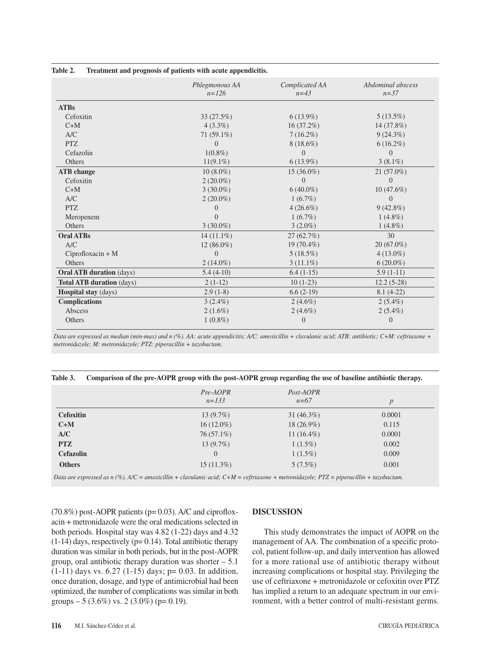|                                 | Phlegmonous AA<br>$n = 126$ | Complicated AA<br>$n = 43$ | Abdominal abscess<br>$n=37$ |
|---------------------------------|-----------------------------|----------------------------|-----------------------------|
| <b>ATBs</b>                     |                             |                            |                             |
| Cefoxitin                       | 33 (27.5%)                  | $6(13.9\%)$                | $5(13.5\%)$                 |
| $C+M$                           | $4(3.3\%)$                  | $16(37.2\%)$               | 14 (37.8%)                  |
| A/C                             | $71(59.1\%)$                | $7(16.2\%)$                | $9(24.3\%)$                 |
| <b>PTZ</b>                      | $\Omega$                    | $8(18.6\%)$                | $6(16.2\%)$                 |
| Cefazolin                       | $1(0.8\%)$                  | 0                          | $\theta$                    |
| Others                          | $11(9.1\%)$                 | $6(13.9\%)$                | $3(8.1\%)$                  |
| <b>ATB</b> change               | $10(8.0\%)$                 | $15(36.0\%)$               | $21(57.0\%)$                |
| Cefoxitin                       | $2(20.0\%)$                 | $\overline{0}$             | $\overline{0}$              |
| $C+M$                           | $3(30.0\%)$                 | $6(40.0\%)$                | $10(47.6\%)$                |
| A/C                             | $2(20.0\%)$                 | $1(6.7\%)$                 | $\Omega$                    |
| <b>PTZ</b>                      | $\Omega$                    | $4(26.6\%)$                | $9(42.8\%)$                 |
| Meropenem                       | $\Omega$                    | $1(6.7\%)$                 | $1(4.8\%)$                  |
| Others                          | $3(30.0\%)$                 | $3(2.0\%)$                 | $1(4.8\%)$                  |
| <b>Oral ATBs</b>                | $14(11.1\%)$                | 27(62.7%)                  | 30                          |
| A/C                             | $12(86.0\%)$                | 19 (70.4%)                 | $20(67.0\%)$                |
| $Ciproflox (ax) + M$            | $\Omega$                    | $5(18.5\%)$                | $4(13.0\%)$                 |
| Others                          | $2(14.0\%)$                 | $3(11.1\%)$                | $6(20.0\%)$                 |
| <b>Oral ATB duration</b> (days) | $5.4(4-10)$                 | $6.4(1-15)$                | $5.9(1-11)$                 |
| Total ATB duration (days)       | $2(1-12)$                   | $10(1-23)$                 | $12.2(5-28)$                |
| Hospital stay (days)            | $2.9(1-8)$                  | $6.6(2-19)$                | $8.1(4-22)$                 |
| <b>Complications</b>            | $3(2.4\%)$                  | $2(4.6\%)$                 | $2(5.4\%)$                  |
| Abscess                         | $2(1.6\%)$                  | $2(4.6\%)$                 | $2(5.4\%)$                  |
| Others                          | $1(0.8\%)$                  | $\overline{0}$             | $\overline{0}$              |

## **Table 2. Treatment and prognosis of patients with acute appendicitis.**

*Data are expressed as median (min-max) and n (%). AA: acute appendicitis; A/C: amoxicillin + clavulanic acid; ATB: antibiotic; C+M: ceftriaxone + metronidazole; M: metronidazole; PTZ: piperacillin + tazobactam.*

|  |  |  | Table 3. Comparison of the pre-AOPR group with the post-AOPR group regarding the use of baseline antibiotic therapy. |  |
|--|--|--|----------------------------------------------------------------------------------------------------------------------|--|
|  |  |  |                                                                                                                      |  |

|                  | Pre-AOPR<br>$n = 133$ | Post-AOPR<br>$n=67$ | $\boldsymbol{p}$ |
|------------------|-----------------------|---------------------|------------------|
| <b>Cefoxitin</b> | $13(9.7\%)$           | 31 $(46.3\%)$       | 0.0001           |
| $C+M$            | $16(12.0\%)$          | $18(26.9\%)$        | 0.115            |
| A/C              | $76(57.1\%)$          | 11 $(16.4\%)$       | 0.0001           |
| <b>PTZ</b>       | $13(9.7\%)$           | $1(1.5\%)$          | 0.002            |
| <b>Cefazolin</b> | $\overline{0}$        | $1(1.5\%)$          | 0.009            |
| <b>Others</b>    | $15(11.3\%)$          | $5(7.5\%)$          | 0.001            |

*Data are expressed as n (%). A/C = amoxicillin + clavulanic acid; C+M = ceftriaxone + metronidazole; PTZ = piperacillin + tazobactam.*

 $(70.8\%)$  post-AOPR patients ( $p= 0.03$ ). A/C and ciprofloxacin + metronidazole were the oral medications selected in both periods. Hospital stay was 4.82 (1-22) days and 4.32  $(1-14)$  days, respectively  $(p= 0.14)$ . Total antibiotic therapy duration was similar in both periods, but in the post-AOPR group, oral antibiotic therapy duration was shorter  $-5.1$  $(1-11)$  days vs. 6.27  $(1-15)$  days; p= 0.03. In addition, once duration, dosage, and type of antimicrobial had been optimized, the number of complications was similar in both groups  $-5$  (3.6%) vs. 2 (3.0%) (p= 0.19).

## **DISCUSSION**

This study demonstrates the impact of AOPR on the management of AA. The combination of a specific protocol, patient follow-up, and daily intervention has allowed for a more rational use of antibiotic therapy without increasing complications or hospital stay. Privileging the use of ceftriaxone + metronidazole or cefoxitin over PTZ has implied a return to an adequate spectrum in our environment, with a better control of multi-resistant germs.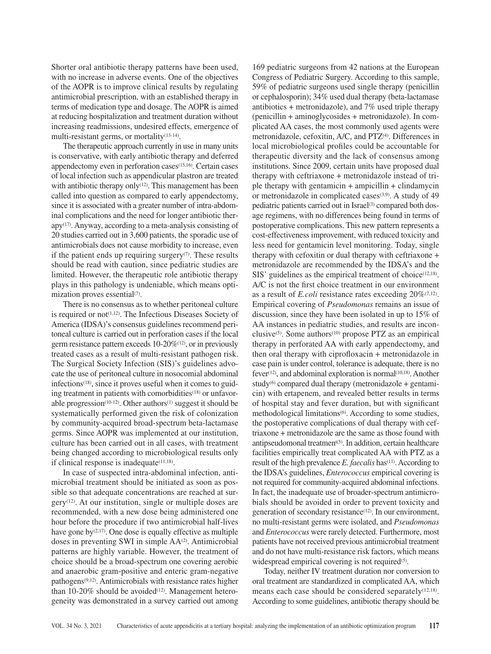Shorter oral antibiotic therapy patterns have been used, with no increase in adverse events. One of the objectives of the AOPR is to improve clinical results by regulating antimicrobial prescription, with an established therapy in terms of medication type and dosage. The AOPR is aimed at reducing hospitalization and treatment duration without increasing readmissions, undesired effects, emergence of multi-resistant germs, or mortality<sup>(13-14)</sup>.

The therapeutic approach currently in use in many units is conservative, with early antibiotic therapy and deferred appendectomy even in perforation cases<sup>(15,16)</sup>. Certain cases of local infection such as appendicular plastron are treated with antibiotic therapy only $(12)$ . This management has been called into question as compared to early appendectomy, since it is associated with a greater number of intra-abdominal complications and the need for longer antibiotic therapy(17). Anyway, according to a meta-analysis consisting of 20 studies carried out in 3,600 patients, the sporadic use of antimicrobials does not cause morbidity to increase, even if the patient ends up requiring surgery $(7)$ . These results should be read with caution, since pediatric studies are limited. However, the therapeutic role antibiotic therapy plays in this pathology is undeniable, which means optimization proves essential<sup>(7)</sup>.

There is no consensus as to whether peritoneal culture is required or not<sup> $(1,12)$ </sup>. The Infectious Diseases Society of America (IDSA)'s consensus guidelines recommend peritoneal culture is carried out in perforation cases if the local germ resistance pattern exceeds 10-20%(12), or in previously treated cases as a result of multi-resistant pathogen risk. The Surgical Society Infection (SIS)'s guidelines advocate the use of peritoneal culture in nosocomial abdominal infections<sup>(18)</sup>, since it proves useful when it comes to guiding treatment in patients with comorbidities<sup>(18)</sup> or unfavorable progression $(10-12)$ . Other authors $(1)$  suggest it should be systematically performed given the risk of colonization by community-acquired broad-spectrum beta-lactamase germs. Since AOPR was implemented at our institution, culture has been carried out in all cases, with treatment being changed according to microbiological results only if clinical response is inadequate<sup>(11,18)</sup>.

In case of suspected intra-abdominal infection, antimicrobial treatment should be initiated as soon as possible so that adequate concentrations are reached at surgery(12). At our institution, single or multiple doses are recommended, with a new dose being administered one hour before the procedure if two antimicrobial half-lives have gone by $(2,17)$ . One dose is equally effective as multiple doses in preventing SWI in simple AA<sup>(2)</sup>. Antimicrobial patterns are highly variable. However, the treatment of choice should be a broad-spectrum one covering aerobic and anaerobic gram-positive and enteric gram-negative  $pathogens<sup>(9,12)</sup>$ . Antimicrobials with resistance rates higher than 10-20% should be avoided $(12)$ . Management heterogeneity was demonstrated in a survey carried out among

169 pediatric surgeons from 42 nations at the European Congress of Pediatric Surgery. According to this sample, 59% of pediatric surgeons used single therapy (penicillin or cephalosporin); 34% used dual therapy (beta-lactamase antibiotics + metronidazole), and 7% used triple therapy (penicillin + aminoglycosides + metronidazole). In complicated AA cases, the most commonly used agents were metronidazole, cefoxitin, A/C, and PTZ<sup>(4)</sup>. Differences in local microbiological profiles could be accountable for therapeutic diversity and the lack of consensus among institutions. Since 2009, certain units have proposed dual therapy with ceftriaxone + metronidazole instead of triple therapy with gentamicin + ampicillin + clindamycin or metronidazole in complicated cases $(3,9)$ . A study of 49 pediatric patients carried out in Israel<sup>(3)</sup> compared both dosage regimens, with no differences being found in terms of postoperative complications. This new pattern represents a cost-effectiveness improvement, with reduced toxicity and less need for gentamicin level monitoring. Today, single therapy with cefoxitin or dual therapy with ceftriaxone + metronidazole are recommended by the IDSA's and the SIS' guidelines as the empirical treatment of choice<sup>(12,18)</sup>. A/C is not the first choice treatment in our environment as a result of *E.coli* resistance rates exceeding 20%(7,12). Empirical covering of *Pseudomonas* remains an issue of discussion, since they have been isolated in up to 15% of AA instances in pediatric studies, and results are inconclusive(5). Some authors(10) propose PTZ as an empirical therapy in perforated AA with early appendectomy, and then oral therapy with ciprofloxacin + metronidazole in case pain is under control, tolerance is adequate, there is no fever<sup>(12)</sup>, and abdominal exploration is normal<sup>(10,18)</sup>. Another study<sup>(6)</sup> compared dual therapy (metronidazole  $+$  gentamicin) with ertapenem, and revealed better results in terms of hospital stay and fever duration, but with significant methodological limitations<sup>(6)</sup>. According to some studies, the postoperative complications of dual therapy with ceftriaxone + metronidazole are the same as those found with antipseudomonal treatment(5). In addition, certain healthcare facilities empirically treat complicated AA with PTZ as a result of the high prevalence *E. faecalis* has<sup>(11)</sup>. According to the IDSA's guidelines, *Enterococcus* empirical covering is not required for community-acquired abdominal infections. In fact, the inadequate use of broader-spectrum antimicrobials should be avoided in order to prevent toxicity and generation of secondary resistance<sup>(12)</sup>. In our environment, no multi-resistant germs were isolated, and *Pseudomonas* and *Enterococcus* were rarely detected. Furthermore, most patients have not received previous antimicrobial treatment and do not have multi-resistance risk factors, which means widespread empirical covering is not required<sup>(5)</sup>.

Today, neither IV treatment duration nor conversion to oral treatment are standardized in complicated AA, which means each case should be considered separately<sup>(12,18)</sup>. According to some guidelines, antibiotic therapy should be